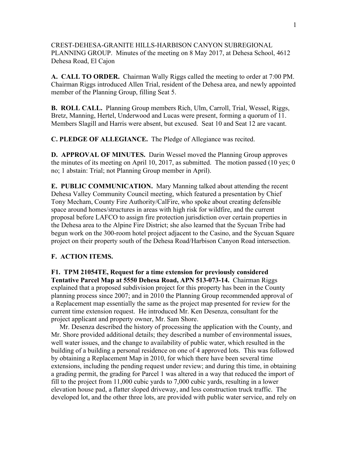CREST-DEHESA-GRANITE HILLS-HARBISON CANYON SUBREGIONAL PLANNING GROUP. Minutes of the meeting on 8 May 2017, at Dehesa School, 4612 Dehesa Road, El Cajon

**A. CALL TO ORDER.** Chairman Wally Riggs called the meeting to order at 7:00 PM. Chairman Riggs introduced Allen Trial, resident of the Dehesa area, and newly appointed member of the Planning Group, filling Seat 5.

**B. ROLL CALL.** Planning Group members Rich, Ulm, Carroll, Trial, Wessel, Riggs, Bretz, Manning, Hertel, Underwood and Lucas were present, forming a quorum of 11. Members Slagill and Harris were absent, but excused. Seat 10 and Seat 12 are vacant.

**C. PLEDGE OF ALLEGIANCE.** The Pledge of Allegiance was recited.

**D. APPROVAL OF MINUTES.** Darin Wessel moved the Planning Group approves the minutes of its meeting on April 10, 2017, as submitted. The motion passed (10 yes; 0 no; 1 abstain: Trial; not Planning Group member in April).

**E. PUBLIC COMMUNICATION.** Mary Manning talked about attending the recent Dehesa Valley Community Council meeting, which featured a presentation by Chief Tony Mecham, County Fire Authority/CalFire, who spoke about creating defensible space around homes/structures in areas with high risk for wildfire, and the current proposal before LAFCO to assign fire protection jurisdiction over certain properties in the Dehesa area to the Alpine Fire District; she also learned that the Sycuan Tribe had begun work on the 300-room hotel project adjacent to the Casino, and the Sycuan Square project on their property south of the Dehesa Road/Harbison Canyon Road intersection.

## **F. ACTION ITEMS.**

**F1. TPM 21054TE, Request for a time extension for previously considered Tentative Parcel Map at 5550 Dehesa Road, APN 513-073-14.** Chairman Riggs explained that a proposed subdivision project for this property has been in the County planning process since 2007; and in 2010 the Planning Group recommended approval of a Replacement map essentially the same as the project map presented for review for the current time extension request. He introduced Mr. Ken Desenza, consultant for the project applicant and property owner, Mr. Sam Shore.

 Mr. Desenza described the history of processing the application with the County, and Mr. Shore provided additional details; they described a number of environmental issues, well water issues, and the change to availability of public water, which resulted in the building of a building a personal residence on one of 4 approved lots. This was followed by obtaining a Replacement Map in 2010, for which there have been several time extensions, including the pending request under review; and during this time, in obtaining a grading permit, the grading for Parcel 1 was altered in a way that reduced the import of fill to the project from 11,000 cubic yards to 7,000 cubic yards, resulting in a lower elevation house pad, a flatter sloped driveway, and less construction truck traffic. The developed lot, and the other three lots, are provided with public water service, and rely on